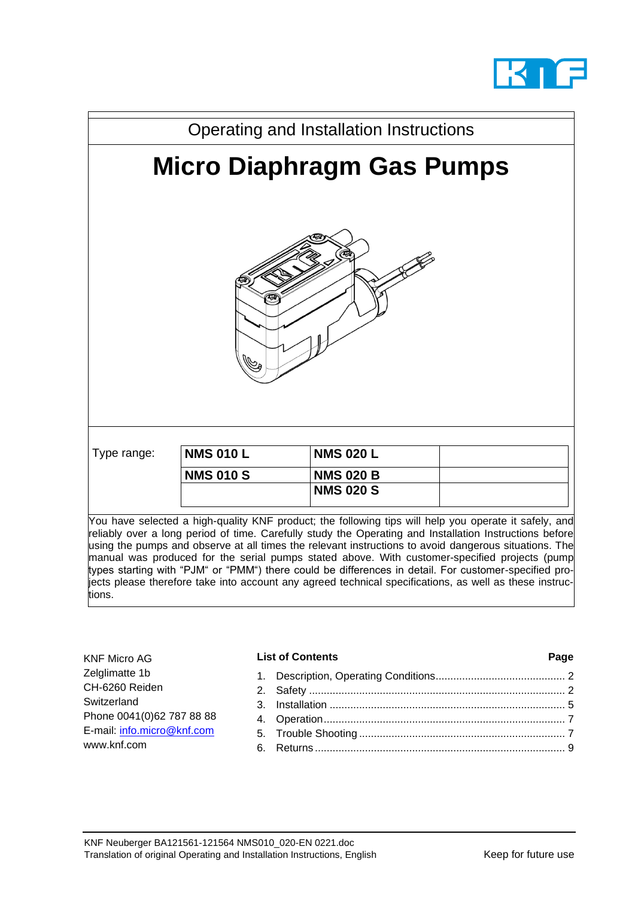



reliably over a long period of time. Carefully study the Operating and Installation Instructions before using the pumps and observe at all times the relevant instructions to avoid dangerous situations. The manual was produced for the serial pumps stated above. With customer-specified projects (pump types starting with "PJM" or "PMM") there could be differences in detail. For customer-specified projects please therefore take into account any agreed technical specifications, as well as these instructions.

| <b>KNF Micro AG</b>                       | <b>List of Contents</b> | Page |
|-------------------------------------------|-------------------------|------|
| Zelglimatte 1b<br>CH-6260 Reiden          |                         |      |
| Switzerland<br>Phone 0041(0)62 787 88 88  |                         |      |
| E-mail: info.micro@knf.com<br>www.knf.com |                         |      |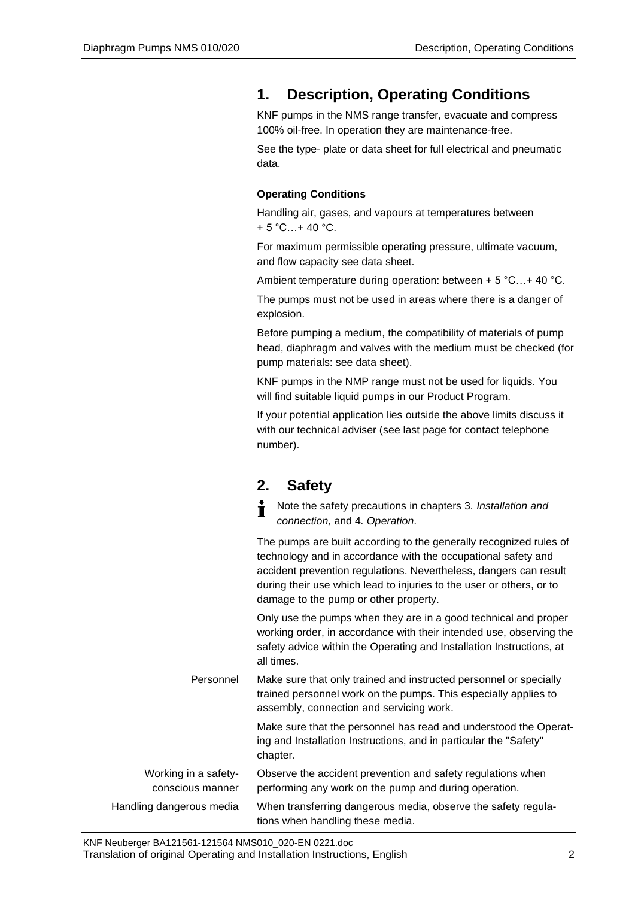## <span id="page-1-0"></span>**1. Description, Operating Conditions**

KNF pumps in the NMS range transfer, evacuate and compress 100% oil-free. In operation they are maintenance-free.

See the type- plate or data sheet for full electrical and pneumatic data.

### **Operating Conditions**

Handling air, gases, and vapours at temperatures between  $+ 5 °C...+ 40 °C.$ 

For maximum permissible operating pressure, ultimate vacuum, and flow capacity see data sheet.

Ambient temperature during operation: between + 5 °C…+ 40 °C.

The pumps must not be used in areas where there is a danger of explosion.

Before pumping a medium, the compatibility of materials of pump head, diaphragm and valves with the medium must be checked (for pump materials: see data sheet).

KNF pumps in the NMP range must not be used for liquids. You will find suitable liquid pumps in our Product Program.

If your potential application lies outside the above limits discuss it with our technical adviser (see last page for contact telephone number).

## <span id="page-1-1"></span>**2. Safety**

Note the safety precautions in chapters 3*. Installation and*  Ť *connection,* and 4*. Operation*.

The pumps are built according to the generally recognized rules of technology and in accordance with the occupational safety and accident prevention regulations. Nevertheless, dangers can result during their use which lead to injuries to the user or others, or to damage to the pump or other property.

Only use the pumps when they are in a good technical and proper working order, in accordance with their intended use, observing the safety advice within the Operating and Installation Instructions, at all times.

Make sure that only trained and instructed personnel or specially trained personnel work on the pumps. This especially applies to assembly, connection and servicing work. Personnel

> Make sure that the personnel has read and understood the Operating and Installation Instructions, and in particular the "Safety" chapter.

| Working in a safety-     | Observe the accident prevention and safety regulations when   |
|--------------------------|---------------------------------------------------------------|
| conscious manner         | performing any work on the pump and during operation.         |
| Handling dangerous media | When transferring dangerous media, observe the safety regula- |
|                          | tions when handling these media.                              |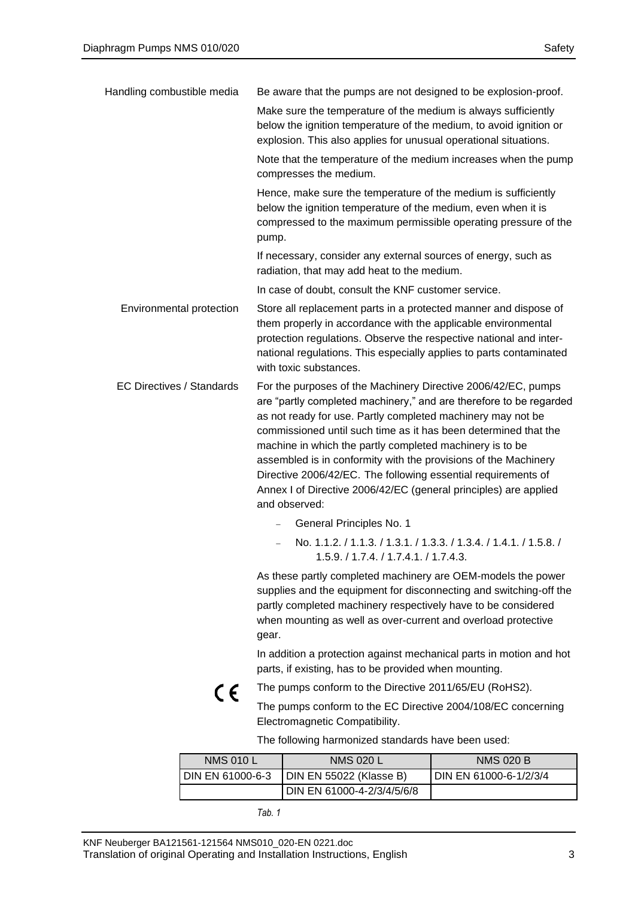| Handling combustible media       | Be aware that the pumps are not designed to be explosion-proof.                                                                                                                                                                                                                                                                                                                                                                                                                                                                                            |
|----------------------------------|------------------------------------------------------------------------------------------------------------------------------------------------------------------------------------------------------------------------------------------------------------------------------------------------------------------------------------------------------------------------------------------------------------------------------------------------------------------------------------------------------------------------------------------------------------|
|                                  | Make sure the temperature of the medium is always sufficiently<br>below the ignition temperature of the medium, to avoid ignition or<br>explosion. This also applies for unusual operational situations.                                                                                                                                                                                                                                                                                                                                                   |
|                                  | Note that the temperature of the medium increases when the pump<br>compresses the medium.                                                                                                                                                                                                                                                                                                                                                                                                                                                                  |
|                                  | Hence, make sure the temperature of the medium is sufficiently<br>below the ignition temperature of the medium, even when it is<br>compressed to the maximum permissible operating pressure of the<br>pump.                                                                                                                                                                                                                                                                                                                                                |
|                                  | If necessary, consider any external sources of energy, such as<br>radiation, that may add heat to the medium.                                                                                                                                                                                                                                                                                                                                                                                                                                              |
|                                  | In case of doubt, consult the KNF customer service.                                                                                                                                                                                                                                                                                                                                                                                                                                                                                                        |
| Environmental protection         | Store all replacement parts in a protected manner and dispose of<br>them properly in accordance with the applicable environmental<br>protection regulations. Observe the respective national and inter-<br>national regulations. This especially applies to parts contaminated<br>with toxic substances.                                                                                                                                                                                                                                                   |
| <b>EC Directives / Standards</b> | For the purposes of the Machinery Directive 2006/42/EC, pumps<br>are "partly completed machinery," and are therefore to be regarded<br>as not ready for use. Partly completed machinery may not be<br>commissioned until such time as it has been determined that the<br>machine in which the partly completed machinery is to be<br>assembled is in conformity with the provisions of the Machinery<br>Directive 2006/42/EC. The following essential requirements of<br>Annex I of Directive 2006/42/EC (general principles) are applied<br>and observed: |
|                                  | General Principles No. 1                                                                                                                                                                                                                                                                                                                                                                                                                                                                                                                                   |
|                                  | No. 1.1.2. / 1.1.3. / 1.3.1. / 1.3.3. / 1.3.4. / 1.4.1. / 1.5.8. /<br>1.5.9. / 1.7.4. / 1.7.4.1. / 1.7.4.3.                                                                                                                                                                                                                                                                                                                                                                                                                                                |
|                                  | As these partly completed machinery are OEM-models the power<br>supplies and the equipment for disconnecting and switching-off the<br>partly completed machinery respectively have to be considered<br>when mounting as well as over-current and overload protective<br>gear.                                                                                                                                                                                                                                                                              |
|                                  | In addition a protection against mechanical parts in motion and hot<br>parts, if existing, has to be provided when mounting.                                                                                                                                                                                                                                                                                                                                                                                                                               |
| C E                              | The pumps conform to the Directive 2011/65/EU (RoHS2).                                                                                                                                                                                                                                                                                                                                                                                                                                                                                                     |
|                                  | The pumps conform to the EC Directive 2004/108/EC concerning<br>Electromagnetic Compatibility.                                                                                                                                                                                                                                                                                                                                                                                                                                                             |
|                                  | The following harmonized standards have been used:                                                                                                                                                                                                                                                                                                                                                                                                                                                                                                         |

| <b>NMS 010 L</b> | <b>NMS 020 L</b>           | <b>NMS 020 B</b>       |
|------------------|----------------------------|------------------------|
| DIN EN 61000-6-3 | DIN EN 55022 (Klasse B)    | DIN EN 61000-6-1/2/3/4 |
|                  | DIN EN 61000-4-2/3/4/5/6/8 |                        |

*Tab. 1*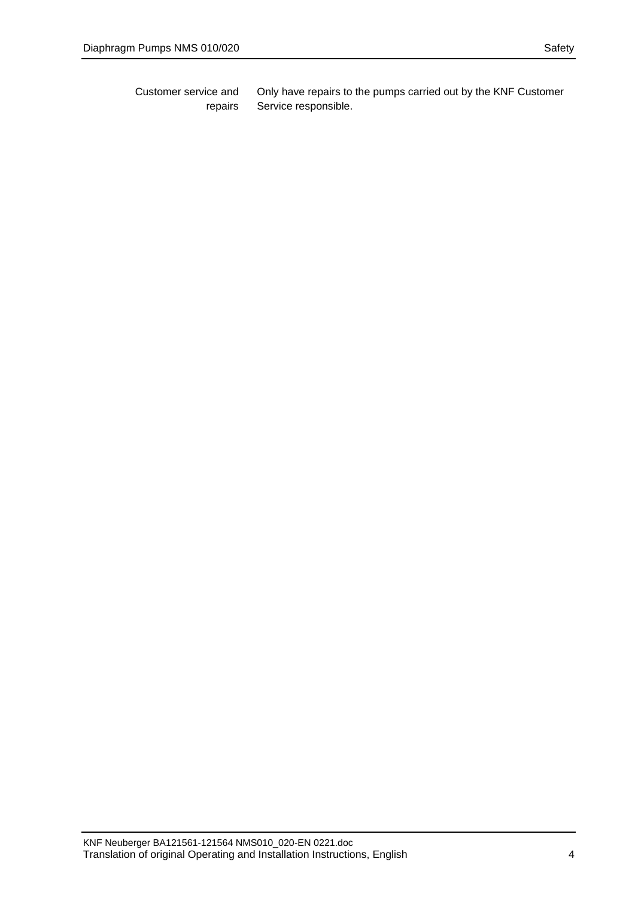Only have repairs to the pumps carried out by the KNF Customer Service responsible. Customer service and repairs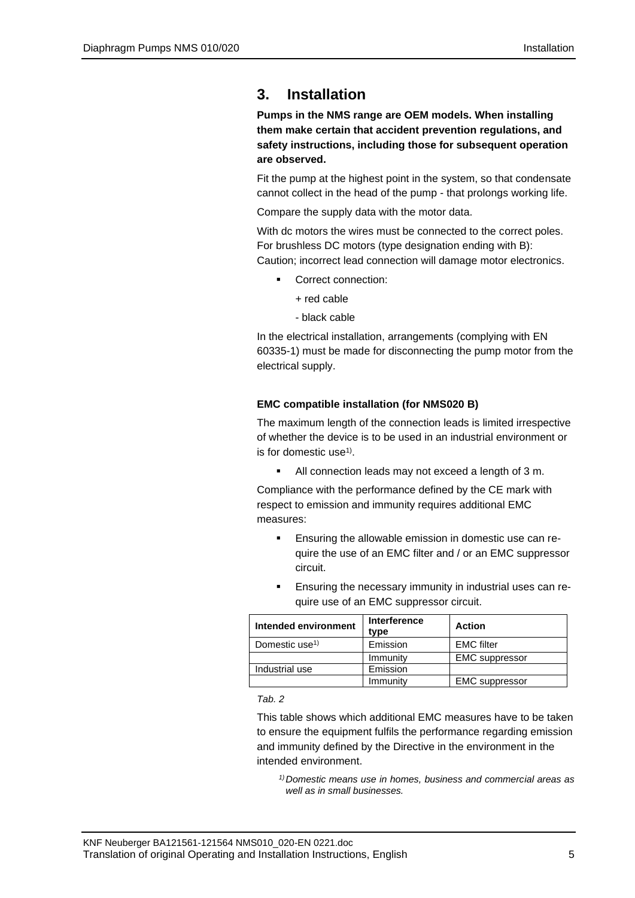# <span id="page-4-0"></span>**3. Installation**

**Pumps in the NMS range are OEM models. When installing them make certain that accident prevention regulations, and safety instructions, including those for subsequent operation are observed.**

Fit the pump at the highest point in the system, so that condensate cannot collect in the head of the pump - that prolongs working life.

Compare the supply data with the motor data.

With dc motors the wires must be connected to the correct poles. For brushless DC motors (type designation ending with B): Caution; incorrect lead connection will damage motor electronics.

- Correct connection:
	- + red cable
	- black cable

In the electrical installation, arrangements (complying with EN 60335-1) must be made for disconnecting the pump motor from the electrical supply.

### **EMC compatible installation (for NMS020 B)**

The maximum length of the connection leads is limited irrespective of whether the device is to be used in an industrial environment or is for domestic use<sup>1)</sup>.

All connection leads may not exceed a length of 3 m.

Compliance with the performance defined by the CE mark with respect to emission and immunity requires additional EMC measures:

- Ensuring the allowable emission in domestic use can require the use of an EMC filter and / or an EMC suppressor circuit.
- Ensuring the necessary immunity in industrial uses can require use of an EMC suppressor circuit.

| Intended environment       | <b>Interference</b><br>type | <b>Action</b>         |
|----------------------------|-----------------------------|-----------------------|
| Domestic use <sup>1)</sup> | Emission                    | <b>EMC</b> filter     |
|                            | Immunity                    | <b>EMC</b> suppressor |
| Industrial use             | Emission                    |                       |
|                            | Immunity                    | <b>EMC</b> suppressor |

### *Tab. 2*

This table shows which additional EMC measures have to be taken to ensure the equipment fulfils the performance regarding emission and immunity defined by the Directive in the environment in the intended environment.

*1)Domestic means use in homes, business and commercial areas as well as in small businesses.*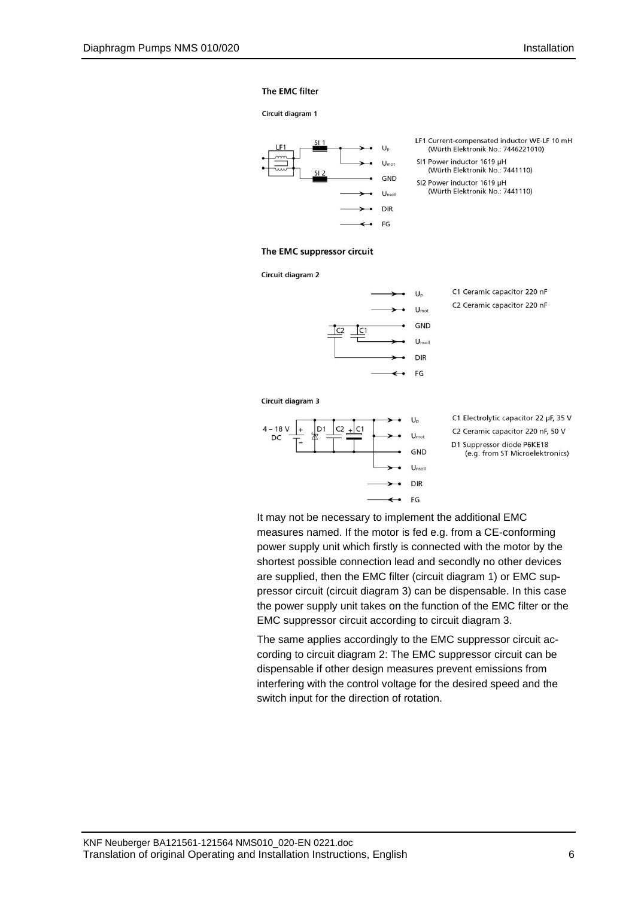### The EMC filter

#### Circuit diagram 1



- LF1 Current-compensated inductor WE-LF 10 mH (Würth Elektronik No.: 7446221010)
- SI1 Power inductor 1619 µH (Würth Elektronik No.: 7441110)
- SI2 Power inductor 1619 µH (Würth Elektronik No.: 7441110)

#### The EMC suppressor circuit

Circuit diagram 2



- C1 Ceramic capacitor 220 nF C2 Ceramic capacitor 220 nF
- 

Circuit diagram 3



- C1 Electrolytic capacitor 22 µF, 35 V
- C2 Ceramic capacitor 220 nF, 50 V
- D1 Suppressor diode P6KE18 (e.g. from ST Microelektronics)

It may not be necessary to implement the additional EMC measures named. If the motor is fed e.g. from a CE-conforming power supply unit which firstly is connected with the motor by the shortest possible connection lead and secondly no other devices are supplied, then the EMC filter (circuit diagram 1) or EMC suppressor circuit (circuit diagram 3) can be dispensable. In this case the power supply unit takes on the function of the EMC filter or the EMC suppressor circuit according to circuit diagram 3.

The same applies accordingly to the EMC suppressor circuit according to circuit diagram 2: The EMC suppressor circuit can be dispensable if other design measures prevent emissions from interfering with the control voltage for the desired speed and the switch input for the direction of rotation.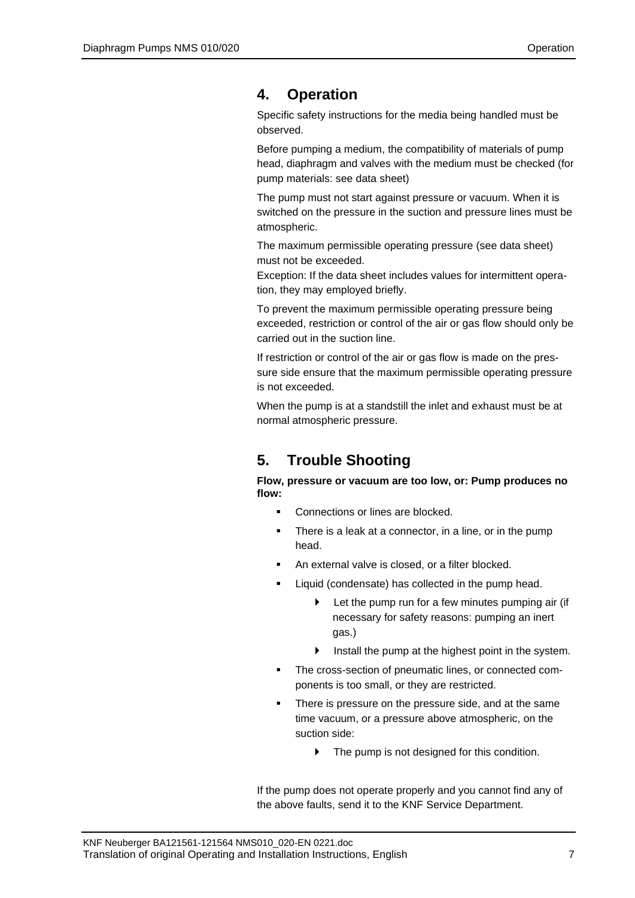## <span id="page-6-0"></span>**4. Operation**

Specific safety instructions for the media being handled must be observed.

Before pumping a medium, the compatibility of materials of pump head, diaphragm and valves with the medium must be checked (for pump materials: see data sheet)

The pump must not start against pressure or vacuum. When it is switched on the pressure in the suction and pressure lines must be atmospheric.

The maximum permissible operating pressure (see data sheet) must not be exceeded.

Exception: If the data sheet includes values for intermittent operation, they may employed briefly.

To prevent the maximum permissible operating pressure being exceeded, restriction or control of the air or gas flow should only be carried out in the suction line.

If restriction or control of the air or gas flow is made on the pressure side ensure that the maximum permissible operating pressure is not exceeded.

When the pump is at a standstill the inlet and exhaust must be at normal atmospheric pressure.

# <span id="page-6-1"></span>**5. Trouble Shooting**

**Flow, pressure or vacuum are too low, or: Pump produces no flow:**

- Connections or lines are blocked.
- There is a leak at a connector, in a line, or in the pump head.
- An external valve is closed, or a filter blocked.
- Liquid (condensate) has collected in the pump head.
	- $\blacktriangleright$  Let the pump run for a few minutes pumping air (if necessary for safety reasons: pumping an inert gas.)
	- $\blacktriangleright$  Install the pump at the highest point in the system.
- The cross-section of pneumatic lines, or connected components is too small, or they are restricted.
- There is pressure on the pressure side, and at the same time vacuum, or a pressure above atmospheric, on the suction side:
	- $\blacktriangleright$  The pump is not designed for this condition.

If the pump does not operate properly and you cannot find any of the above faults, send it to the KNF Service Department.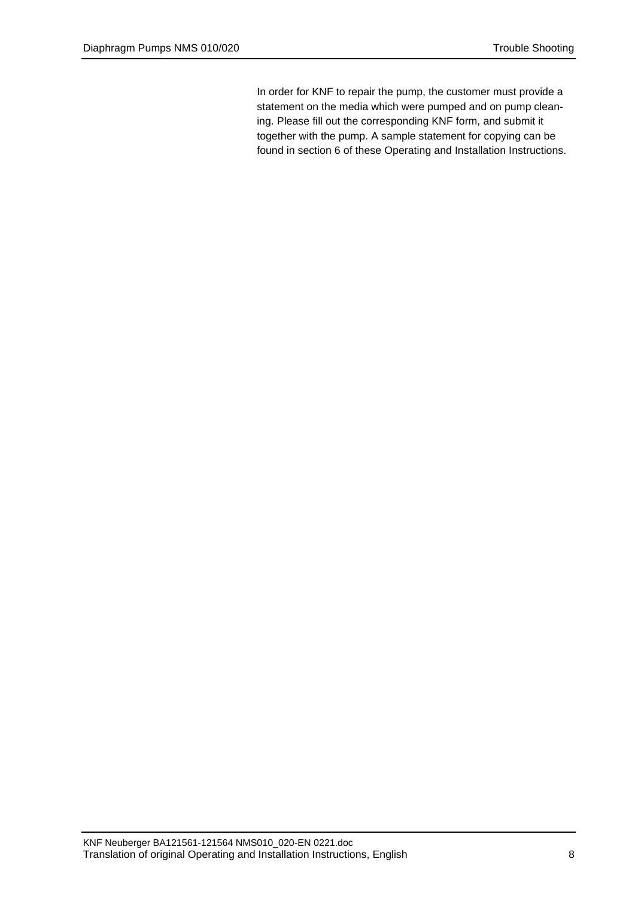In order for KNF to repair the pump, the customer must provide a statement on the media which were pumped and on pump cleaning. Please fill out the corresponding KNF form, and submit it together with the pump. A sample statement for copying can be found in section [6](#page-8-0) of these Operating and Installation Instructions.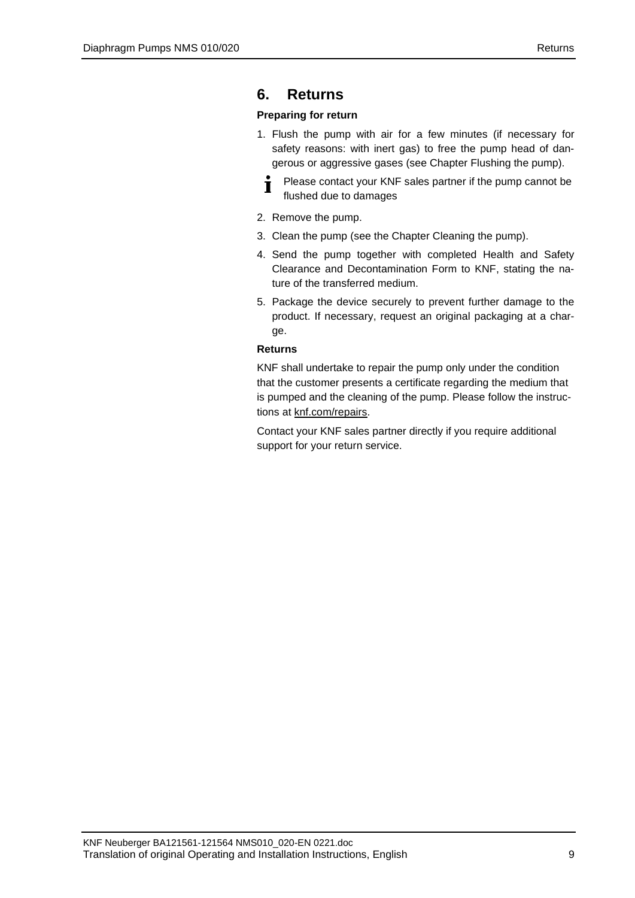## <span id="page-8-0"></span>**6. Returns**

### **Preparing for return**

- 1. Flush the pump with air for a few minutes (if necessary for safety reasons: with inert gas) to free the pump head of dangerous or aggressive gases (see Chapter Flushing the pump).
	- Please contact your KNF sales partner if the pump cannot be Ť flushed due to damages
- 2. Remove the pump.
- 3. Clean the pump (see the Chapter Cleaning the pump).
- 4. Send the pump together with completed Health and Safety Clearance and Decontamination Form to KNF, stating the nature of the transferred medium.
- 5. Package the device securely to prevent further damage to the product. If necessary, request an original packaging at a charge.

### **Returns**

KNF shall undertake to repair the pump only under the condition that the customer presents a certificate regarding the medium that is pumped and the cleaning of the pump. Please follow the instructions at knf.com/repairs.

Contact your KNF sales partner directly if you require additional support for your return service.